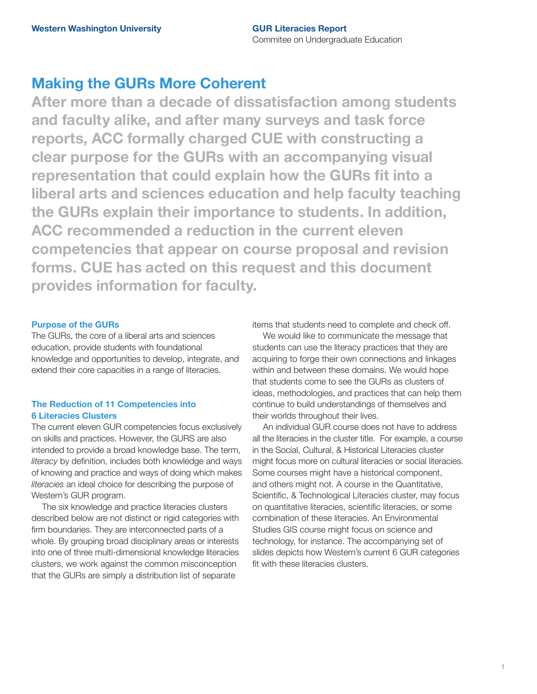## **Making the GURs More Coherent**

**After more than a decade of dissatisfaction among students and faculty alike, and after many surveys and task force reports, ACC formally charged CUE with constructing a clear purpose for the GURs with an accompanying visual representation that could explain how the GURs fit into a liberal arts and sciences education and help faculty teaching the GURs explain their importance to students. In addition, ACC recommended a reduction in the current eleven competencies that appear on course proposal and revision forms. CUE has acted on this request and this document provides information for faculty.**

## **Purpose of the GURs**

The GURs, the core of a liberal arts and sciences education, provide students with foundational knowledge and opportunities to develop, integrate, and extend their core capacities in a range of literacies.

## **The Reduction of 11 Competencies into 6 Literacies Clusters**

The current eleven GUR competencies focus exclusively on skills and practices. However, the GURS are also intended to provide a broad knowledge base. The term, *literacy* by definition, includes both knowledge and ways of knowing and practice and ways of doing which makes *literacies* an ideal choice for describing the purpose of Western's GUR program.

The six knowledge and practice literacies clusters described below are not distinct or rigid categories with firm boundaries. They are interconnected parts of a whole. By grouping broad disciplinary areas or interests into one of three multi-dimensional knowledge literacies clusters, we work against the common misconception that the GURs are simply a distribution list of separate

items that students need to complete and check off.

We would like to communicate the message that students can use the literacy practices that they are acquiring to forge their own connections and linkages within and between these domains. We would hope that students come to see the GURs as clusters of ideas, methodologies, and practices that can help them continue to build understandings of themselves and their worlds throughout their lives.

An individual GUR course does not have to address all the literacies in the cluster title. For example, a course in the Social, Cultural, & Historical Literacies cluster might focus more on cultural literacies or social literacies. Some courses might have a historical component, and others might not. A course in the Quantitative, Scientific, & Technological Literacies cluster, may focus on quantitative literacies, scientific literacies, or some combination of these literacies. An Environmental Studies GIS course might focus on science and technology, for instance. The accompanying set of slides depicts how Western's current 6 GUR categories fit with these literacies clusters.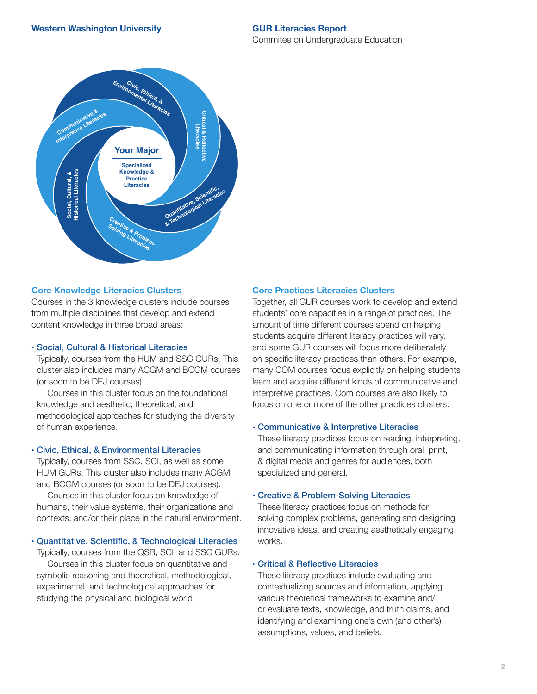

### **Core Knowledge Literacies Clusters**

Courses in the 3 knowledge clusters include courses from multiple disciplines that develop and extend content knowledge in three broad areas:

### • Social, Cultural & Historical Literacies

Typically, courses from the HUM and SSC GURs. This cluster also includes many ACGM and BCGM courses (or soon to be DEJ courses).

Courses in this cluster focus on the foundational knowledge and aesthetic, theoretical, and methodological approaches for studying the diversity of human experience.

## • Civic, Ethical, & Environmental Literacies

Typically, courses from SSC, SCI, as well as some HUM GURs. This cluster also includes many ACGM and BCGM courses (or soon to be DEJ courses).

Courses in this cluster focus on knowledge of humans, their value systems, their organizations and contexts, and/or their place in the natural environment.

• Quantitative, Scientific, & Technological Literacies

Typically, courses from the QSR, SCI, and SSC GURs.

Courses in this cluster focus on quantitative and symbolic reasoning and theoretical, methodological, experimental, and technological approaches for studying the physical and biological world.

## **Core Practices Literacies Clusters**

Together, all GUR courses work to develop and extend students' core capacities in a range of practices. The amount of time different courses spend on helping students acquire different literacy practices will vary, and some GUR courses will focus more deliberately on specific literacy practices than others. For example, many COM courses focus explicitly on helping students learn and acquire different kinds of communicative and interpretive practices. Com courses are also likely to focus on one or more of the other practices clusters.

### • Communicative & Interpretive Literacies

These literacy practices focus on reading, interpreting, and communicating information through oral, print, & digital media and genres for audiences, both specialized and general.

### • Creative & Problem-Solving Literacies

These literacy practices focus on methods for solving complex problems, generating and designing innovative ideas, and creating aesthetically engaging works.

### • Critical & Reflective Literacies

These literacy practices include evaluating and contextualizing sources and information, applying various theoretical frameworks to examine and/ or evaluate texts, knowledge, and truth claims, and identifying and examining one's own (and other's) assumptions, values, and beliefs.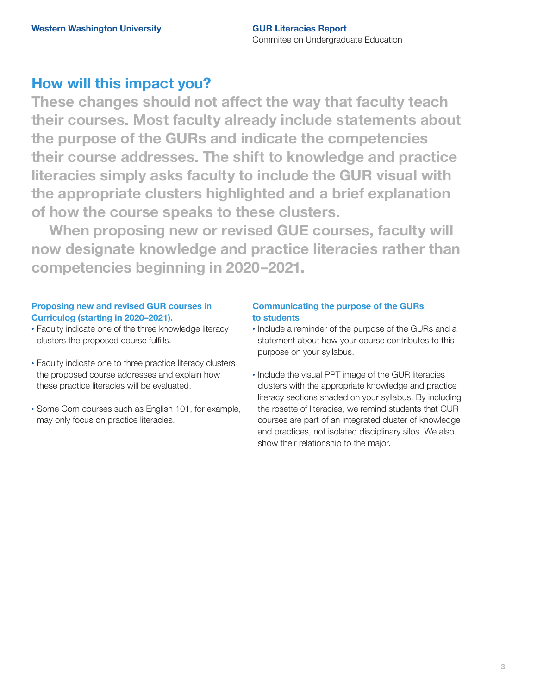# **How will this impact you?**

**These changes should not affect the way that faculty teach their courses. Most faculty already include statements about the purpose of the GURs and indicate the competencies their course addresses. The shift to knowledge and practice literacies simply asks faculty to include the GUR visual with the appropriate clusters highlighted and a brief explanation of how the course speaks to these clusters.** 

**When proposing new or revised GUE courses, faculty will now designate knowledge and practice literacies rather than competencies beginning in 2020–2021.**

### **Proposing new and revised GUR courses in Curriculog (starting in 2020–2021).**

- Faculty indicate one of the three knowledge literacy clusters the proposed course fulfills.
- Faculty indicate one to three practice literacy clusters the proposed course addresses and explain how these practice literacies will be evaluated.
- Some Com courses such as English 101, for example, may only focus on practice literacies.

## **Communicating the purpose of the GURs to students**

- Include a reminder of the purpose of the GURs and a statement about how your course contributes to this purpose on your syllabus.
- Include the visual PPT image of the GUR literacies clusters with the appropriate knowledge and practice literacy sections shaded on your syllabus. By including the rosette of literacies, we remind students that GUR courses are part of an integrated cluster of knowledge and practices, not isolated disciplinary silos. We also show their relationship to the major.